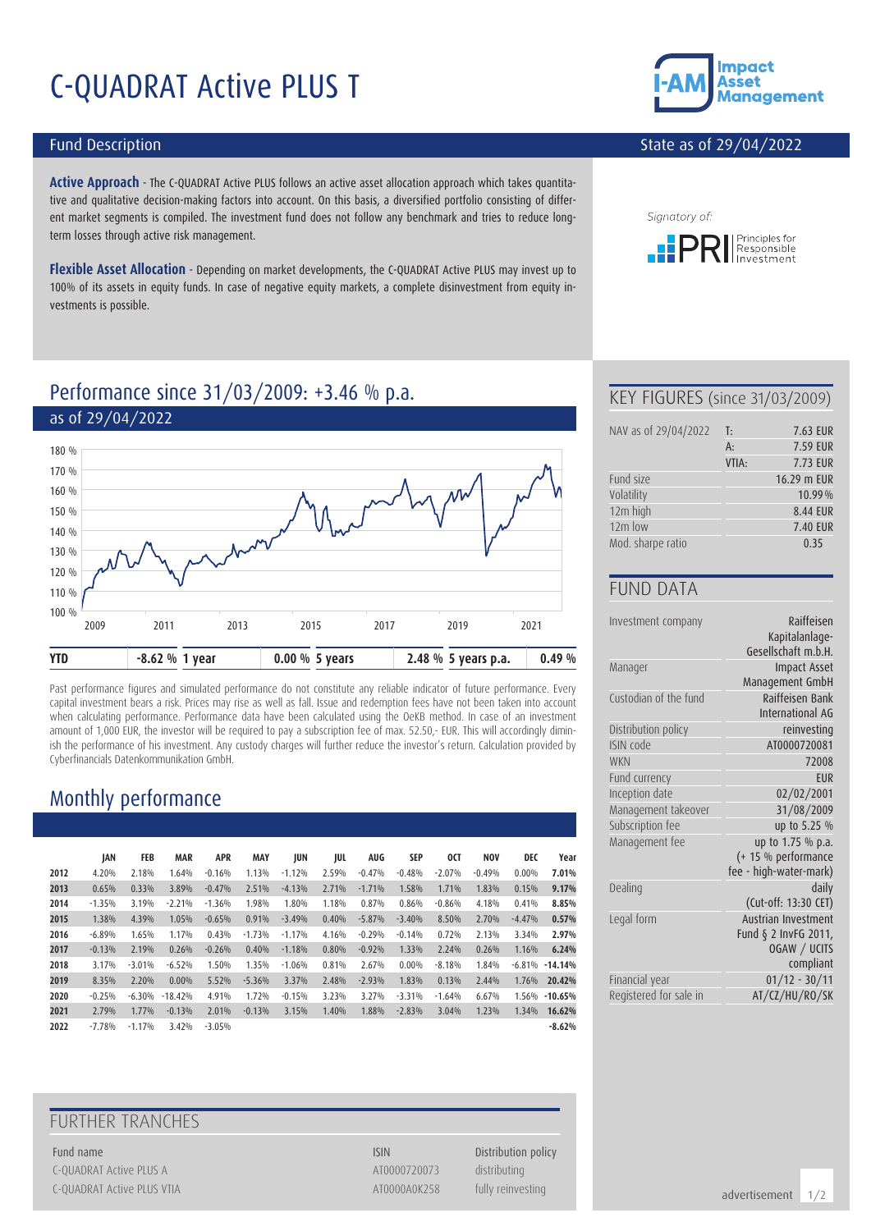# C-QUADRAT Active PLUS T

#### Fund Description

**Active Approach** - The C-QUADRAT Active PLUS follows an active asset allocation approach which takes quantitative and qualitative decision-making factors into account. On this basis, a diversified portfolio consisting of different market segments is compiled. The investment fund does not follow any benchmark and tries to reduce longterm losses through active risk management.

**Flexible Asset Allocation** - Depending on market developments, the C-QUADRAT Active PLUS may invest up to 100% of its assets in equity funds. In case of negative equity markets, a complete disinvestment from equity investments is possible.



#### State as of 29/04/2022



# Performance since 31/03/2009: +3.46 % p.a.



Past performance figures and simulated performance do not constitute any reliable indicator of future performance. Every capital investment bears a risk. Prices may rise as well as fall. Issue and redemption fees have not been taken into account when calculating performance. Performance data have been calculated using the OeKB method. In case of an investment amount of 1,000 EUR, the investor will be required to pay a subscription fee of max. 52.50,- EUR. This will accordingly diminish the performance of his investment. Any custody charges will further reduce the investor's return. Calculation provided by Cyberfinancials Datenkommunikation GmbH.

# Monthly performance

|      | JAN      | FEB      | <b>MAR</b> | <b>APR</b> | <b>MAY</b> | JUN      | JUL   | <b>AUG</b> | SEP      | 0CT      | <b>NOV</b> | DEC      | Year      |
|------|----------|----------|------------|------------|------------|----------|-------|------------|----------|----------|------------|----------|-----------|
| 2012 | 4.20%    | 2.18%    | 1.64%      | $-0.16%$   | 1.13%      | $-1.12%$ | 2.59% | $-0.47%$   | $-0.48%$ | $-2.07%$ | $-0.49%$   | $0.00\%$ | 7.01%     |
| 2013 | 0.65%    | 0.33%    | 3.89%      | $-0.47%$   | 2.51%      | $-4.13%$ | 2.71% | $-1.71%$   | 1.58%    | 1.71%    | 1.83%      | 0.15%    | 9.17%     |
| 2014 | $-1.35%$ | 3.19%    | $-2.21%$   | $-1.36%$   | 1.98%      | 1.80%    | 1.18% | 0.87%      | 0.86%    | $-0.86%$ | 4.18%      | 0.41%    | 8.85%     |
| 2015 | 1.38%    | 4.39%    | 1.05%      | $-0.65%$   | 0.91%      | $-3.49%$ | 0.40% | $-5.87%$   | $-3.40%$ | 8.50%    | 2.70%      | $-4.47%$ | 0.57%     |
| 2016 | $-6.89%$ | 1.65%    | 1.17%      | 0.43%      | $-1.73%$   | $-1.17%$ | 4.16% | $-0.29%$   | $-0.14%$ | 0.72%    | 2.13%      | 3.34%    | 2.97%     |
| 2017 | $-0.13%$ | 2.19%    | 0.26%      | $-0.26%$   | 0.40%      | $-1.18%$ | 0.80% | $-0.92%$   | 1.33%    | 2.24%    | 0.26%      | 1.16%    | 6.24%     |
| 2018 | 3.17%    | $-3.01%$ | $-6.52%$   | 1.50%      | 1.35%      | $-1.06%$ | 0.81% | 2.67%      | $0.00\%$ | $-8.18%$ | 1.84%      | -6.81%   | $-14.14%$ |
| 2019 | 8.35%    | 2.20%    | 0.00%      | 5.52%      | $-5.36%$   | 3.37%    | 2.48% | $-2.93%$   | 1.83%    | 0.13%    | 2.44%      | 1.76%    | 20.42%    |
| 2020 | $-0.25%$ | $-6.30%$ | $-18.42%$  | 4.91%      | 1.72%      | $-0.15%$ | 3.23% | 3.27%      | $-3.31%$ | $-1.64%$ | 6.67%      | 1.56%    | $-10.65%$ |
| 2021 | 2.79%    | 1.77%    | $-0.13%$   | 2.01%      | $-0.13%$   | 3.15%    | 1.40% | 1.88%      | $-2.83%$ | 3.04%    | 1.23%      | 1.34%    | 16.62%    |
| 2022 | $-7.78%$ | $-1.17%$ | 3.42%      | $-3.05%$   |            |          |       |            |          |          |            |          | $-8.62%$  |

### FURTHER TRANCHES

Fund name **ISIN** Distribution policy C-QUADRAT Active PLUS A AT0000720073 distributing C-QUADRAT Active PLUS VTIA **ATOOOOAOK258** fully reinvesting

#### KEY FIGURES (since 31/03/2009)

| NAV as of 29/04/2022 | T:    | 7.63 EUR        |
|----------------------|-------|-----------------|
|                      | $A$ : | 7.59 EUR        |
|                      | VTIA: | <b>7.73 EUR</b> |
| Fund size            |       | 16.29 m EUR     |
| Volatility           |       | 10.99%          |
| 12m high             |       | 8.44 EUR        |
| $12m$ low            |       | <b>7.40 EUR</b> |
| Mod. sharpe ratio    |       | 0.35            |

#### FUND DATA

| Investment company     | Raiffeisen<br>Kapitalanlage-<br>Gesellschaft m.b.H. |
|------------------------|-----------------------------------------------------|
| Manager                | <b>Impact Asset</b>                                 |
|                        | Management GmbH                                     |
| Custodian of the fund  | Raiffeisen Bank<br>International AG                 |
| Distribution policy    | reinvesting                                         |
| ISIN code              | AT0000720081                                        |
| <b>WKN</b>             | 72008                                               |
| Fund currency          | <b>FUR</b>                                          |
| Inception date         | 02/02/2001                                          |
| Management takeover    | 31/08/2009                                          |
| Subscription fee       | up to 5.25 %                                        |
| Management fee         | up to 1.75 % p.a.                                   |
|                        | (+ 15 % performance                                 |
|                        | fee - high-water-mark)                              |
| Dealing                | daily                                               |
|                        | (Cut-off: 13:30 CET)                                |
| Legal form             | Austrian Investment                                 |
|                        | Fund § 2 InvFG 2011,                                |
|                        | OGAW / UCITS                                        |
|                        | compliant                                           |
| Financial year         | $01/12 - 30/11$                                     |
| Registered for sale in | AT/CZ/HU/RO/SK                                      |

advertisement 1/2